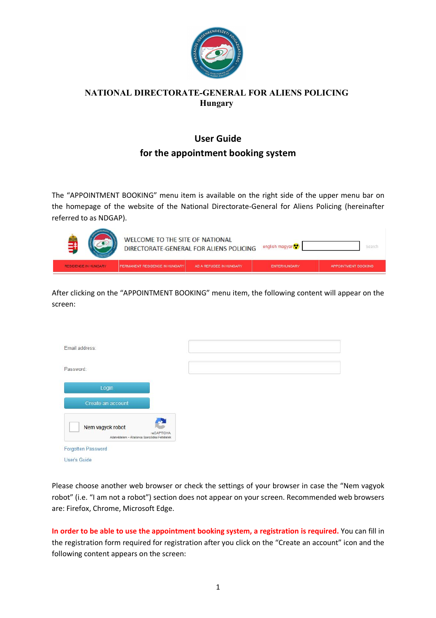

## **NATIONAL DIRECTORATE-GENERAL FOR ALIENS POLICING Hungary**

# **User Guide for the appointment booking system**

The "APPOINTMENT BOOKING" menu item is available on the right side of the upper menu bar on the homepage of the website of the National Directorate-General for Aliens Policing (hereinafter referred to as NDGAP).



After clicking on the "APPOINTMENT BOOKING" menu item, the following content will appear on the screen:

| Password:                                                                      |  |  |
|--------------------------------------------------------------------------------|--|--|
|                                                                                |  |  |
| Login                                                                          |  |  |
| Create an account                                                              |  |  |
| Nem vagyok robot<br>reCAPTCHA<br>Adatvédelem - Általános Szerződési Feltételek |  |  |

Please choose another web browser or check the settings of your browser in case the "Nem vagyok robot" (i.e. "I am not a robot") section does not appear on your screen. Recommended web browsers are: Firefox, Chrome, Microsoft Edge.

**In order to be able to use the appointment booking system, a registration is required.** You can fill in the registration form required for registration after you click on the "Create an account" icon and the following content appears on the screen: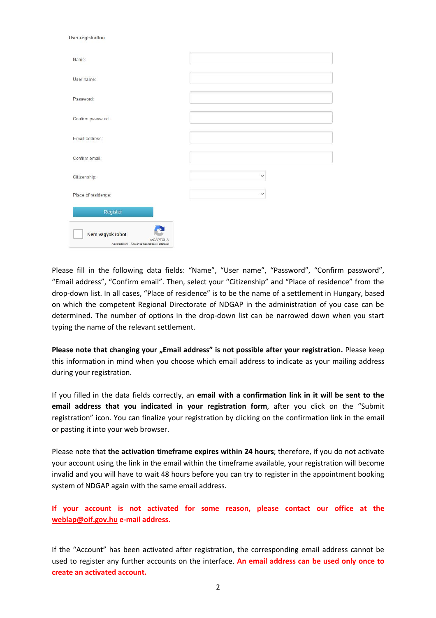| $\overline{\phantom{a}}$                                                       |              |
|--------------------------------------------------------------------------------|--------------|
| Name:                                                                          |              |
| User name:                                                                     |              |
| Password:                                                                      |              |
| Confirm password:                                                              |              |
| Email address:                                                                 |              |
| Confirm email:                                                                 |              |
| Citizenship:                                                                   | $\checkmark$ |
| Place of residence:                                                            | $\checkmark$ |
| Register                                                                       |              |
| Nem vagyok robot<br>reCAPTCHA<br>Adatvédelem - Általános Szerződési Feltételek |              |

User registration

Please fill in the following data fields: "Name", "User name", "Password", "Confirm password", "Email address", "Confirm email". Then, select your "Citizenship" and "Place of residence" from the drop-down list. In all cases, "Place of residence" is to be the name of a settlement in Hungary, based on which the competent Regional Directorate of NDGAP in the administration of you case can be determined. The number of options in the drop-down list can be narrowed down when you start typing the name of the relevant settlement.

**Please note that changing your "Email address" is not possible after your registration.** Please keep this information in mind when you choose which email address to indicate as your mailing address during your registration.

If you filled in the data fields correctly, an **email with a confirmation link in it will be sent to the email address that you indicated in your registration form**, after you click on the "Submit registration" icon. You can finalize your registration by clicking on the confirmation link in the email or pasting it into your web browser.

Please note that **the activation timeframe expires within 24 hours**; therefore, if you do not activate your account using the link in the email within the timeframe available, your registration will become invalid and you will have to wait 48 hours before you can try to register in the appointment booking system of NDGAP again with the same email address.

**If your account is not activated for some reason, please contact our office at the weblap@oif.gov.hu e-mail address.**

If the "Account" has been activated after registration, the corresponding email address cannot be used to register any further accounts on the interface. **An email address can be used only once to create an activated account.**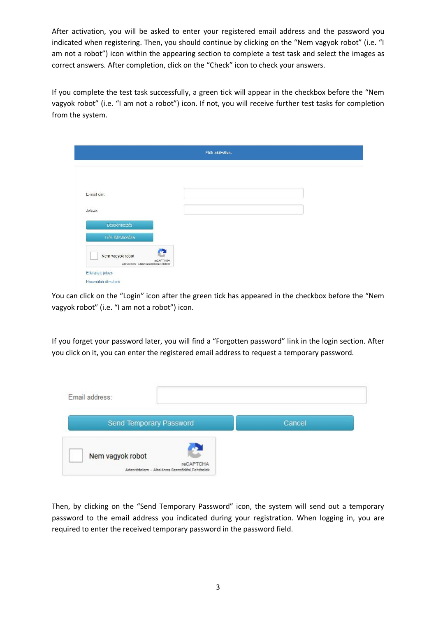After activation, you will be asked to enter your registered email address and the password you indicated when registering. Then, you should continue by clicking on the "Nem vagyok robot" (i.e. "I am not a robot") icon within the appearing section to complete a test task and select the images as correct answers. After completion, click on the "Check" icon to check your answers.

If you complete the test task successfully, a green tick will appear in the checkbox before the "Nem vagyok robot" (i.e. "I am not a robot") icon. If not, you will receive further test tasks for completion from the system.

|                                                                                     | Fiok aktiválva. |
|-------------------------------------------------------------------------------------|-----------------|
|                                                                                     |                 |
|                                                                                     |                 |
|                                                                                     |                 |
| E-mail cím:                                                                         |                 |
| Jelszó:                                                                             |                 |
| Bejetentkezés                                                                       |                 |
| Fiók létrehozása                                                                    |                 |
| n.<br>Nem vagyok robot<br>reCAPTCHA<br>Adamédelem - Általános Szerződési Feltételek |                 |

You can click on the "Login" icon after the green tick has appeared in the checkbox before the "Nem vagyok robot" (i.e. "I am not a robot") icon.

If you forget your password later, you will find a "Forgotten password" link in the login section. After you click on it, you can enter the registered email address to request a temporary password.

| Email address:                                |        |
|-----------------------------------------------|--------|
| Send Temporary Password                       | Cancel |
|                                               |        |
| Nem vagyok robot<br>reCAPTCHA                 |        |
| Adatvédelem - Általános Szerződési Feltételek |        |

Then, by clicking on the "Send Temporary Password" icon, the system will send out a temporary password to the email address you indicated during your registration. When logging in, you are required to enter the received temporary password in the password field.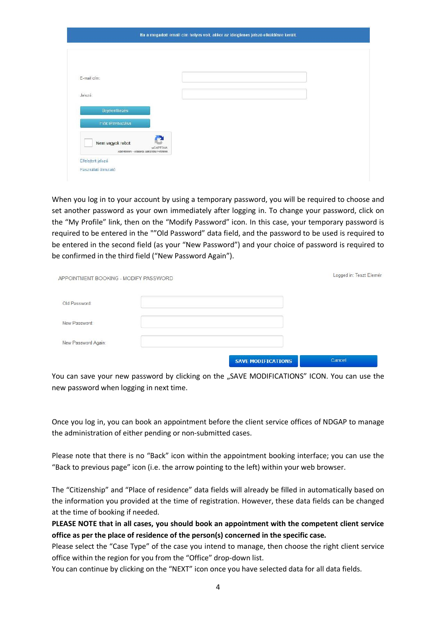| E-mail cím:                   |  |  |
|-------------------------------|--|--|
| Jelszó:                       |  |  |
| <b>Bejelentkezés</b>          |  |  |
| Fiók létrehozása              |  |  |
| Nem vagyok robot<br>reCAPTCHA |  |  |

When you log in to your account by using a temporary password, you will be required to choose and set another password as your own immediately after logging in. To change your password, click on the "My Profile" link, then on the "Modify Password" icon. In this case, your temporary password is required to be entered in the ""Old Password" data field, and the password to be used is required to be entered in the second field (as your "New Password") and your choice of password is required to be confirmed in the third field ("New Password Again").

| APPOINTMENT BOOKING - MODIFY PASSWORD |                           | Logged in: Teszt Elemér |
|---------------------------------------|---------------------------|-------------------------|
| Old Password:                         |                           |                         |
| New Password:                         |                           |                         |
| New Password Again:                   |                           |                         |
|                                       | <b>SAVE MODIFICATIONS</b> | Cancel                  |

You can save your new password by clicking on the "SAVE MODIFICATIONS" ICON. You can use the new password when logging in next time.

Once you log in, you can book an appointment before the client service offices of NDGAP to manage the administration of either pending or non-submitted cases.

Please note that there is no "Back" icon within the appointment booking interface; you can use the "Back to previous page" icon (i.e. the arrow pointing to the left) within your web browser.

The "Citizenship" and "Place of residence" data fields will already be filled in automatically based on the information you provided at the time of registration. However, these data fields can be changed at the time of booking if needed.

**PLEASE NOTE that in all cases, you should book an appointment with the competent client service office as per the place of residence of the person(s) concerned in the specific case.** 

Please select the "Case Type" of the case you intend to manage, then choose the right client service office within the region for you from the "Office" drop-down list.

You can continue by clicking on the "NEXT" icon once you have selected data for all data fields.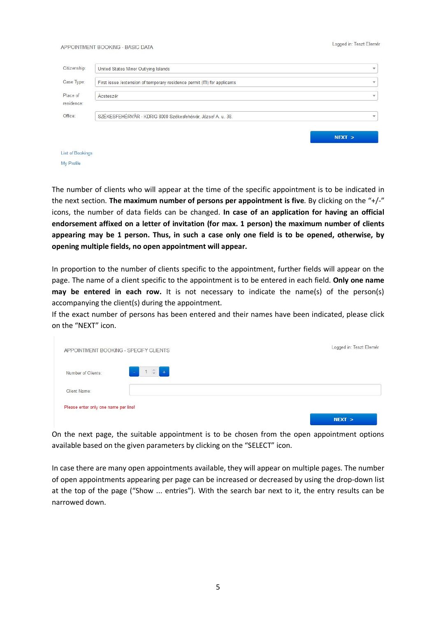#### Logged in: Teszt Elemér

#### APPOINTMENT BOOKING - BASIC DATA

| Citizenship:           | United States Minor Outlying Islands                                      | $\mathbf{v}$ |
|------------------------|---------------------------------------------------------------------------|--------------|
| Case Type:             | First issue /extension of temporary residence permit (ITI) for applicants | $\mathbf{v}$ |
| Place of<br>residence: | Ácsteszér                                                                 | $\mathbf{v}$ |
| Office:                | SZÉKESFEHÉRVÁR - KDRIG 8000 Székesfehérvár, József A. u. 38.              | $\mathbf{v}$ |
|                        |                                                                           | NEXT         |
| List of Bookings       |                                                                           |              |

My Profile

The number of clients who will appear at the time of the specific appointment is to be indicated in the next section. **The maximum number of persons per appointment is five**. By clicking on the "+/-" icons, the number of data fields can be changed. **In case of an application for having an official endorsement affixed on a letter of invitation (for max. 1 person) the maximum number of clients appearing may be 1 person. Thus, in such a case only one field is to be opened, otherwise, by opening multiple fields, no open appointment will appear.**

In proportion to the number of clients specific to the appointment, further fields will appear on the page. The name of a client specific to the appointment is to be entered in each field. **Only one name may be entered in each row.** It is not necessary to indicate the name(s) of the person(s) accompanying the client(s) during the appointment.

If the exact number of persons has been entered and their names have been indicated, please click on the "NEXT" icon.

| APPOINTMENT BOOKING - SPECIFY CLIENTS |                                 | Logged in: Teszt Elemér |
|---------------------------------------|---------------------------------|-------------------------|
| Number of Clients:                    | $\frac{1}{\sqrt{2}}$<br>$1 0 1$ |                         |
| Client Name:                          |                                 |                         |
| Please enter only one name per line!  |                                 | NEXT                    |

On the next page, the suitable appointment is to be chosen from the open appointment options available based on the given parameters by clicking on the "SELECT" icon.

In case there are many open appointments available, they will appear on multiple pages. The number of open appointments appearing per page can be increased or decreased by using the drop-down list at the top of the page ("Show ... entries"). With the search bar next to it, the entry results can be narrowed down.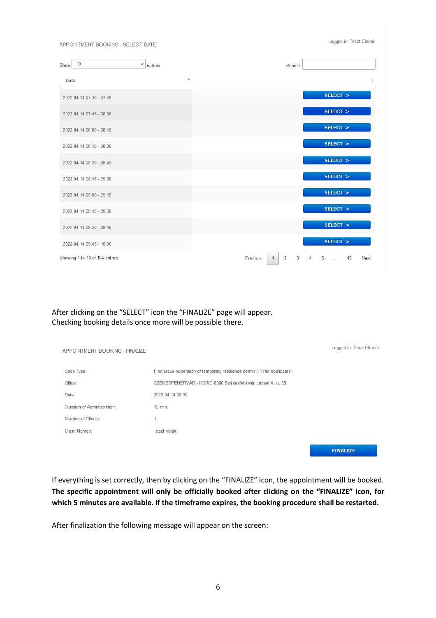APPOINTMENT BOOKING - SELECT DATE

Logged in: Teszt Elemér

| 10<br>Show                     | $\checkmark$<br>entries | Search:                                                                            |
|--------------------------------|-------------------------|------------------------------------------------------------------------------------|
| Date                           | Δ                       | ÷                                                                                  |
| 2022.04.14 07:30 - 07:45       |                         | SELECT >                                                                           |
| 2022.04.14 07:45 - 08:00       |                         | SELECT >                                                                           |
| 2022.04.14 08:00 - 08:15       |                         | SELECT >                                                                           |
| 2022.04.14 08:15 - 08:30       |                         | SELECT >                                                                           |
| 2022.04.14 08:30 - 08:45       |                         | SELECT >                                                                           |
| 2022.04.14 08:45 - 09:00       |                         | SELECT >                                                                           |
| 2022.04.14 09:00 - 09:15       |                         | SELECT >                                                                           |
| 2022.04.14 09:15 - 09:30       |                         | SELECT >                                                                           |
| 2022.04.14 09:30 - 09:45       |                         | SELECT >                                                                           |
| 2022.04.14 09:45 - 10:00       |                         | SELECT >                                                                           |
| Showing 1 to 10 of 184 entries |                         | $\overline{2}$<br>3<br>Previous<br>5<br>19<br>Next<br>$\overline{1}$<br>$\sqrt{2}$ |

After clicking on the "SELECT" icon the "FINALIZE" page will appear. Checking booking details once more will be possible there.

| APPOINTMENT BOOKING - FINALIZE |                                                                           | Logged in: Teszt Elemér |
|--------------------------------|---------------------------------------------------------------------------|-------------------------|
| Case Type:                     | First issue /extension of temporary residence permit (ITI) for applicants |                         |
| Office:                        | SZÉKESFEHÉRVÁR - KDRIG 8000 Székesfehérvár, József A. u. 38.              |                         |
| Date:                          | 2022.04.14 08:30                                                          |                         |
| Duration of Administration:    | 15 min.                                                                   |                         |
| Number of Clients:             |                                                                           |                         |
| Client Names:                  | <b>Teszt Valaki</b>                                                       |                         |
|                                |                                                                           |                         |
|                                |                                                                           | <b>FINALIZE</b>         |

If everything is set correctly, then by clicking on the "FINALIZE" icon, the appointment will be booked. **The specific appointment will only be officially booked after clicking on the "FINALIZE" icon, for which 5 minutes are available. If the timeframe expires, the booking procedure shall be restarted.**

After finalization the following message will appear on the screen: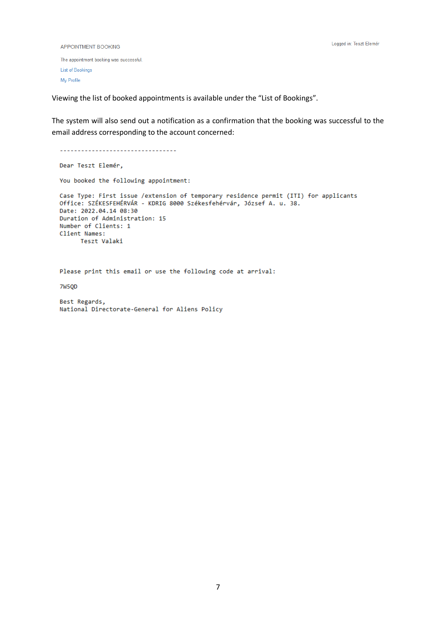```
APPOINTMENT BOOKING
```
The appointment booking was successful List of Bookings My Profile

Viewing the list of booked appointments is available under the "List of Bookings".

The system will also send out a notification as a confirmation that the booking was successful to the email address corresponding to the account concerned:

```
-----------------------------------
Dear Teszt Elemér,
You booked the following appointment:
Case Type: First issue /extension of temporary residence permit (ITI) for applicants
Office: SZÉKESFEHÉRVÁR - KDRIG 8000 Székesfehérvár, József A. u. 38.
Date: 2022.04.14 08:30
Duration of Administration: 15
Number of Clients: 1
Client Names:
      Teszt Valaki
```
Please print this email or use the following code at arrival:

**7W50D** 

```
Best Regards,
National Directorate-General for Aliens Policy
```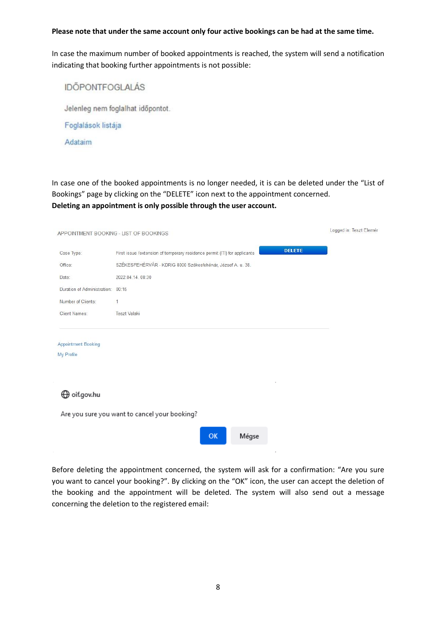### **Please note that under the same account only four active bookings can be had at the same time.**

In case the maximum number of booked appointments is reached, the system will send a notification indicating that booking further appointments is not possible:

|  |  | <b>IDÖPONTFOGLALÁS</b> |
|--|--|------------------------|
|  |  |                        |

Jelenleg nem foglalhat időpontot.

Foglalások listája

Adataim

In case one of the booked appointments is no longer needed, it is can be deleted under the "List of Bookings" page by clicking on the "DELETE" icon next to the appointment concerned. **Deleting an appointment is only possible through the user account.**

| APPOINTMENT BOOKING - LIST OF BOOKINGS   | Logged in: Teszt Elemér                                                                    |  |  |
|------------------------------------------|--------------------------------------------------------------------------------------------|--|--|
| Case Type:                               | <b>DELETE</b><br>First issue /extension of temporary residence permit (ITI) for applicants |  |  |
| Office:                                  | SZÉKESFEHÉRVÁR - KDRIG 8000 Székesfehérvár, József A. u. 38.                               |  |  |
| Date:                                    | 2022.04.14.08:30                                                                           |  |  |
| Duration of Administration: 00:15        |                                                                                            |  |  |
| Number of Clients:                       | 1                                                                                          |  |  |
| Client Names:                            | <b>Teszt Valaki</b>                                                                        |  |  |
| <b>Appointment Booking</b><br>My Profile |                                                                                            |  |  |
| ⊕ oif.gov.hu                             |                                                                                            |  |  |
|                                          | Are you sure you want to cancel your booking?                                              |  |  |
|                                          | OK<br>Mégse                                                                                |  |  |
|                                          |                                                                                            |  |  |

Before deleting the appointment concerned, the system will ask for a confirmation: "Are you sure you want to cancel your booking?". By clicking on the "OK" icon, the user can accept the deletion of the booking and the appointment will be deleted. The system will also send out a message concerning the deletion to the registered email: